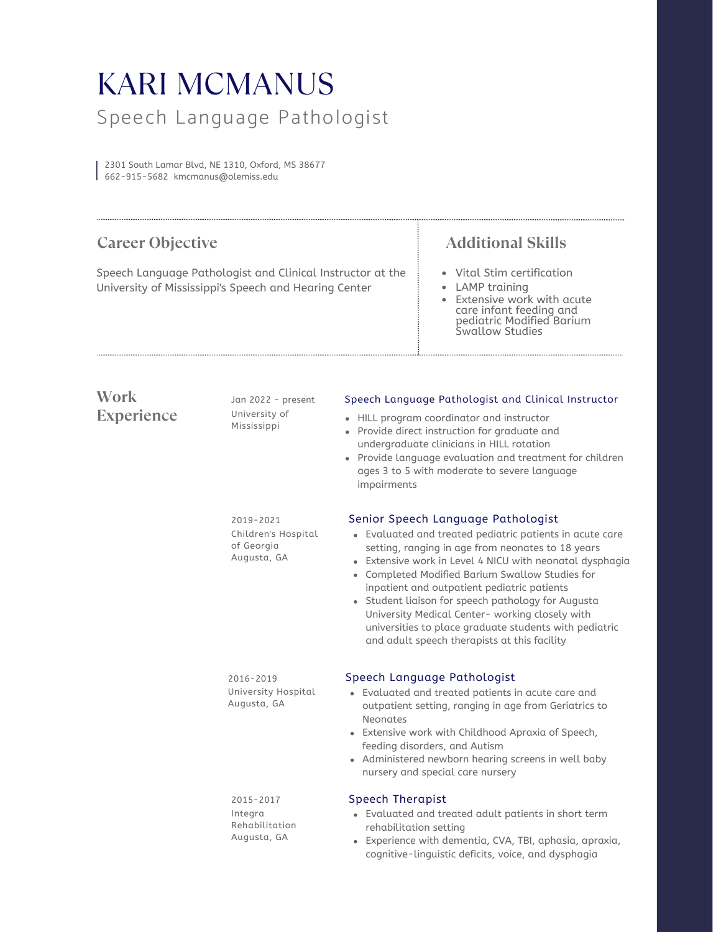## Speech Language Pathologist KARI MCMANUS

2301 South Lamar Blvd, NE 1310, Oxford, MS 38677 662-915-5682 kmcmanus@olemiss.edu

| <b>Career Objective</b><br>Speech Language Pathologist and Clinical Instructor at the<br>University of Mississippi's Speech and Hearing Center |                                                               |                                                                                                                                                                                                                                                                                                                                                                                                                                                                                                                                      | <b>Additional Skills</b>                                                                                                                                                                                                                                                                                                     |
|------------------------------------------------------------------------------------------------------------------------------------------------|---------------------------------------------------------------|--------------------------------------------------------------------------------------------------------------------------------------------------------------------------------------------------------------------------------------------------------------------------------------------------------------------------------------------------------------------------------------------------------------------------------------------------------------------------------------------------------------------------------------|------------------------------------------------------------------------------------------------------------------------------------------------------------------------------------------------------------------------------------------------------------------------------------------------------------------------------|
|                                                                                                                                                |                                                               |                                                                                                                                                                                                                                                                                                                                                                                                                                                                                                                                      | • Vital Stim certification<br><b>LAMP</b> training<br>Extensive work with acute<br>care infant feeding and<br>pediatric Modified Barium<br>Swallow Studies                                                                                                                                                                   |
| Work<br><b>Experience</b>                                                                                                                      | Jan 2022 - present<br>University of<br>Mississippi            | Speech Language Pathologist and Clinical Instructor<br>• HILL program coordinator and instructor<br>• Provide direct instruction for graduate and<br>undergraduate clinicians in HILL rotation<br>• Provide language evaluation and treatment for children<br>ages 3 to 5 with moderate to severe language<br>impairments                                                                                                                                                                                                            |                                                                                                                                                                                                                                                                                                                              |
|                                                                                                                                                | 2019-2021<br>Children's Hospital<br>of Georgia<br>Augusta, GA | Senior Speech Language Pathologist<br>• Evaluated and treated pediatric patients in acute care<br>setting, ranging in age from neonates to 18 years<br>• Extensive work in Level 4 NICU with neonatal dysphagia<br>• Completed Modified Barium Swallow Studies for<br>inpatient and outpatient pediatric patients<br>• Student liaison for speech pathology for Augusta<br>University Medical Center- working closely with<br>universities to place graduate students with pediatric<br>and adult speech therapists at this facility |                                                                                                                                                                                                                                                                                                                              |
|                                                                                                                                                | $2016 - 2019$<br>University Hospital<br>Augusta, GA           | <b>Neonates</b>                                                                                                                                                                                                                                                                                                                                                                                                                                                                                                                      | Speech Language Pathologist<br>• Evaluated and treated patients in acute care and<br>outpatient setting, ranging in age from Geriatrics to<br>• Extensive work with Childhood Apraxia of Speech,<br>feeding disorders, and Autism<br>• Administered newborn hearing screens in well baby<br>nursery and special care nursery |
|                                                                                                                                                | 2015-2017<br>Integra<br>Rehabilitation<br>Augusta, GA         | <b>Speech Therapist</b><br>rehabilitation setting                                                                                                                                                                                                                                                                                                                                                                                                                                                                                    | • Evaluated and treated adult patients in short term<br>· Experience with dementia, CVA, TBI, aphasia, apraxia,<br>cognitive-linguistic deficits, voice, and dysphagia                                                                                                                                                       |